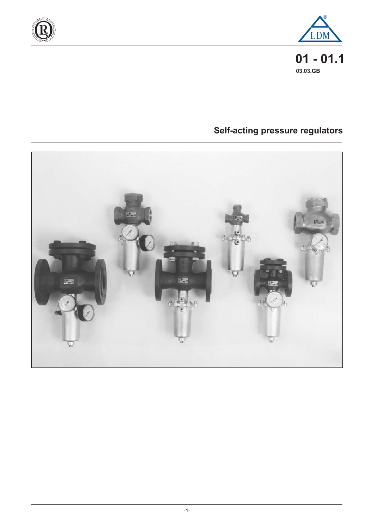



**01 - 01.1 03.03.GB**

# **Self-acting pressure regulators**

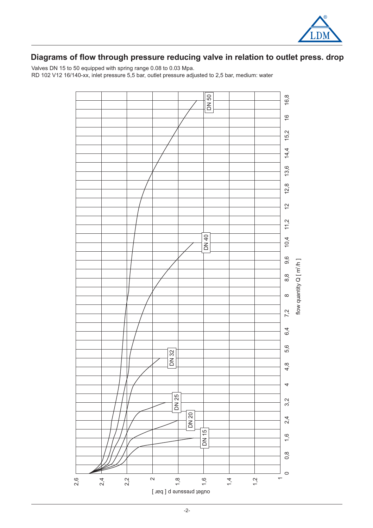

# **Diagrams of flow through pressure reducing valve in relation to outlet press. drop**

Valves DN 15 to 50 equipped with spring range 0.08 to 0.03 Mpa. RD 102 V12 16/140-xx, inlet pressure 5,5 bar, outlet pressure adjusted to 2,5 bar, medium: water

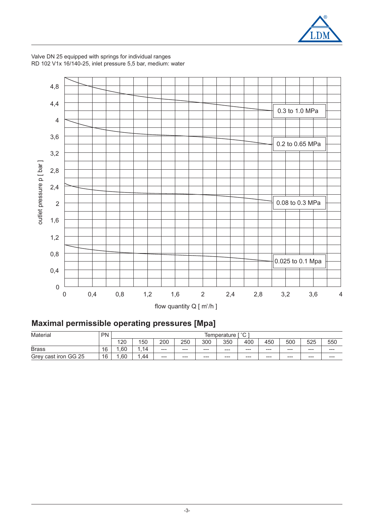

4,8 4,4 0.3 to 1.0 MPa 4 3,6 0.2 to 0.65 MPa 3,2 outlet pressure p [ bar ] outlet pressure p [ bar ] 2,8 2,4 0.08 to 0.3 MPa 2 1,6 1,2 0,8 0.025 to 0.1 Mpa 0,4 0 0 0,4 0,8 1,2 1,6 2 2,4 2,8 3,2 3,6 4 flow quantity  $Q \mid m^3/h \mid$ 

Valve DN 25 equipped with springs for individual ranges RD 102 V1x 16/140-25, inlet pressure 5,5 bar, medium: water

# **Maximal permissible operating pressures [Mpa]**

| Material                | <b>PN</b> |     | $\Gamma$ $\circ$ $\cap$ $\Gamma$<br>lemperature |         |         |         |       |       |         |                        |         |         |
|-------------------------|-----------|-----|-------------------------------------------------|---------|---------|---------|-------|-------|---------|------------------------|---------|---------|
|                         |           | 120 | 150                                             | 200     | 250     | 300     | 350   | 400   | 450     | 500                    | 525     | 550     |
| <b>Brass</b>            | 16        | .60 | .14                                             | $---$   | $- - -$ | $- - -$ | $---$ | $---$ | $---$   | $\qquad \qquad \cdots$ | $---$   | $- - -$ |
| GG 25<br>Grey cast iron | 16        | .60 | .44                                             | $- - -$ | $- - -$ | $- - -$ | $---$ | $---$ | $- - -$ | $---$                  | $- - -$ | $---$   |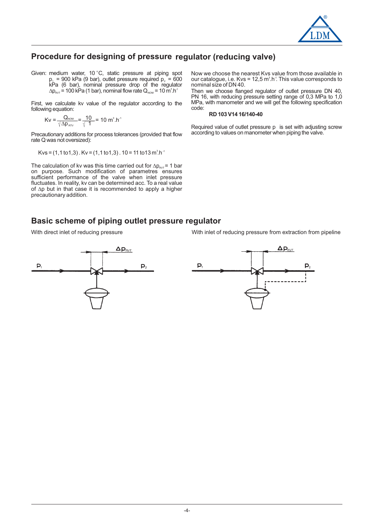

#### **Procedure for designing of pressure regulator (reducing valve)**

Given: medium water, 10 $^{\circ}$ C, static pressure at piping spot  $p_1$  = 900 kPa (9 bar), outlet pressure required  $p_2$  = 600  $kPa$  (6 bar), nominal pressure drop of the regulator  $\Delta \mathsf{p}_{\mathsf{RVT}}$  = 100 kPa (1 bar), nominal flow rate  $\mathsf{Q}_{\mathsf{NOM}}$  = 10  $\mathsf{m}^3.\mathsf{h}^4$ 

First, we calculate kv value of the regulator according to the following equation:

$$
Kv = \frac{Q_{\text{NOM}}}{\sqrt{\Delta p_{\text{RTV}}}} = \frac{10}{\sqrt{1}} = 10 \text{ m}^3.\text{h}^{-1}
$$

Precautionary additions for process tolerances (provided that flow rate Q was not oversized):

 $Kvs = (1, 1 to 1, 3)$  .  $Kv = (1, 1 to 1, 3)$  . 10 = 11 to 13 m<sup>3</sup>.h<sup>-1</sup>

The calculation of kv was this time carried out for  $\Delta p_{\text{RVT}}$  = 1 bar on purpose. Such modification of parametres ensures sufficient performance of the valve when inlet pressure fluctuates. In reality, kv can be determined acc. To a real value of  $\Delta p$  but in that case it is recommended to apply a higher precautionary addition.

Now we choose the nearest Kvs value from those available in our catalogue, i.e. Kvs = 12,5  $\text{m}^3\text{.} \text{h}^4$ . This value corresponds to nominal size of DN 40.

Then we choose flanged regulator of outlet pressure DN 40, PN 16, with reducing pressure setting range of 0,3 MPa to 1,0 MPa, with manometer and we will get the following specification code:

#### **RD 103 V14 16/140-40**

Required value of outlet pressure p is set with adjusting screw according to values on manometer when piping the valve.

#### **Basic scheme of piping outlet pressure regulator**

With direct inlet of reducing pressure With inlet of reducing pressure from extraction from pipeline



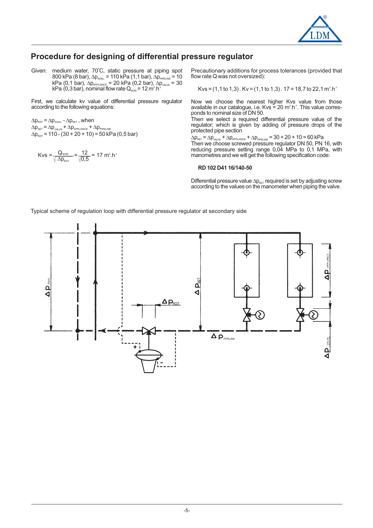

#### **Procedure for designing of differential pressure regulator**

Given: medium water,  $70^{\circ}$ C, static pressure at piping spot  $800$  kPa (8 bar),  $\Delta p_{\text{AVAL}} = 110$  kPa (1,1 bar),  $\Delta p_{\text{PPELINE}} = 10$ kPa (0,1 bar),  $\Delta p_{\text{APPLLANCE}}$  = 20 kPa (0,2 bar),  $\Delta p_{\text{VALVE}}$  = 30  $kPa$  (0,3 bar), nominal flow rate  $Q_{\text{NOM}} = 12 \text{ m}^3 \cdot \text{h}^4$  $\Delta p_{APPLANCE} = 20$  kPa  $(0,2$  bar),  $\Delta p_{APPLANCE} = 20$  kPa  $(0,2$  bar),  $\Delta p_{ADM} = 12$  m<sup>3</sup>.h<sup>-1</sup>

First, we calculate kv value of differential pressure regulator according to the following equations:

 $\Delta p_{\text{rot}} = \Delta p_{\text{avall}}$  -  $\Delta p_{\text{set}}$  , when  $\Delta p_{\text{set}} = \Delta p_{\text{value}} + \Delta p_{\text{appLinear}} + \Delta p_{\text{ppelINE}}$  $\Delta p_{\text{ROT}}$  = 110 - (30 + 20 + 10) = 50 kPa (0,5 bar)

Kvs = 
$$
\frac{Q_{\text{NOM}}}{\sqrt{\Delta p_{\text{ROT}}}} = \frac{12}{\sqrt{0.5}} = 17 \text{ m}^3 \cdot \text{h}^{-1}
$$

Precautionary additions for process tolerances (provided that flow rate Q was not oversized):

Kvs = (1,1 to 1,3) . Kv = (1,1 to 1,3) . 17 = 18,7 to 22,1  $\text{m}^{\text{s}}.\text{h}^{\text{-1}}$ 

Now we choose the nearest higher Kvs value from those available in our catalogue, i.e. Kvs = 20  $m^3.h^{-1}$ . This value corresponds to nominal size of DN 50.

Then we select a required differential pressure value of the regulator; which is given by adding of pressure drops of the protected pipe section

 $\Delta p_{\text{\tiny SET}}$  =  $\Delta p_{\text{\tiny VALVE}}$  +  $\Delta p_{\text{\tiny APPLIANCE}}$  +  $\Delta p_{\text{\tiny PPELINE}}$  = 30 + 20 + 10 = 60 kPa Then we choose screwed pressure regulator DN 50, PN 16, with reducing pressure setting range 0,04 MPa to 0,1 MPa, with manometres and we will get the following specification code:

#### **RD 102 D41 16/140-50**

Differential pressure value  $\Delta p_{\text{SET}}$  required is set by adjusting screw according to the values on the manometer when piping the valve.

Typical scheme of regulation loop with differential pressure regulator at secondary side

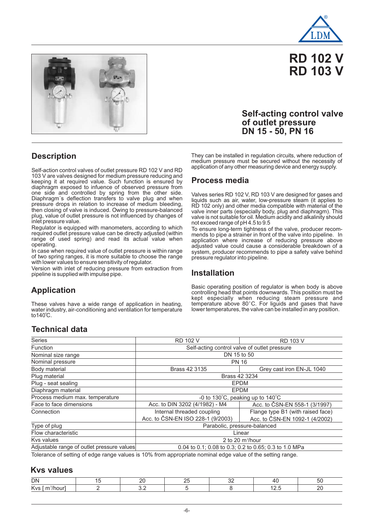



# **RD 102 V RD 103 V**

#### **Self-acting control valve of outlet pressure DN 15 - 50, PN 16**

**Description**

Self-action control valves of outlet pressure RD 102 V and RD 103 V are valves designed for medium pressure reducing and keeping it at required value. Such function is ensured by diaphragm exposed to infuence of observed pressure from one side and controlled by spring from the other side. Diaphragm's deflection transfers to valve plug and when pressure drops in relation to increase of medium bleeding, then closing of valve is induced. Owing to pressure-balanced plug, value of outlet pressure is not influenced by changes of inlet pressure value.

Regulator is equipped with manometers, according to which required outlet pressure value can be directly adjusted (within range of used spring) and read its actual value when operating.

In case when required value of outlet pressure is within range of two spring ranges, it is more suitable to choose the range with lower values to ensure sensitivity of regulator.

Version with inlet of reducing pressure from extraction from pipeline is supplied with impulse pipe.

# **Application**

These valves have a wide range of application in heating, water industry, air-conditioning and ventilation for temperature  $to 140^{\circ}$ C.

They can be installed in regulation circuits, where reduction of medium pressure must be secured without the necessity of application of any other measuring device and energy supply.

#### **Process media**

Valves series RD 102 V, RD 103 V are designed for gases and liquids such as air, water, low-pressure steam (it applies to RD 102 only) and other media compatible with material of the valve inner parts (especially body, plug and diaphragm). This valve is not suitable for oil. Medium acidity and alkalinity should not exceed range of pH 4.5 to 9.5

To ensure long-term tightness of the valve, producer recommends to pipe a strainer in front of the valve into pipeline. In application where increase of reducing pressure above adjusted value could cause a considerable breakdown of a system, producer recommends to pipe a safety valve behind pressure regulator into pipeline.

#### **Installation**

Basic operating position of regulator is when body is above controlling head that points downwards. This position must be kept especially when reducing steam pressure and temperature above 80°C. For liguids and gases that have lower temperatures, the valve can be installed in any position.

# **Technical data**

| Series                                     | <b>RD 102 V</b>                              | <b>RD 103 V</b>                                       |  |  |  |
|--------------------------------------------|----------------------------------------------|-------------------------------------------------------|--|--|--|
| <b>Function</b>                            | Self-acting control valve of outlet pressure |                                                       |  |  |  |
| Nominal size range                         | DN 15 to 50                                  |                                                       |  |  |  |
| Nominal pressure                           | <b>PN 16</b>                                 |                                                       |  |  |  |
| Body material                              | Brass 42 3135                                | Grey cast iron EN-JL 1040                             |  |  |  |
| Plug material                              | Brass 42 3234                                |                                                       |  |  |  |
| Plug - seat sealing                        |                                              | <b>EPDM</b>                                           |  |  |  |
| Diaphragm material                         |                                              | <b>EPDM</b>                                           |  |  |  |
| Process medium max. temperature            |                                              | -0 to 130°C, peaking up to 140°C                      |  |  |  |
| Face to face dimensions                    | Acc. to DIN 3202 (4/1982) - M4               | Acc. to ČSN-EN 558-1 (3/1997)                         |  |  |  |
| Connection                                 | Internal threaded coupling                   | Flange type B1 (with raised face)                     |  |  |  |
|                                            | Acc. to ČSN-EN ISO 228-1 (9/2003)            | Acc. to ČSN-EN 1092-1 (4/2002)                        |  |  |  |
| Type of plug                               | Parabolic, pressure-balanced                 |                                                       |  |  |  |
| Flow characteristic                        |                                              | Linear                                                |  |  |  |
| Kys values                                 |                                              | 2 to 20 $m^3/h$ our                                   |  |  |  |
| Adjustable range of outlet pressure values |                                              | 0.04 to 0.1; 0.08 to 0.3; 0.2 to 0.65; 0.3 to 1.0 MPa |  |  |  |
|                                            |                                              |                                                       |  |  |  |

Tolerance of setting of edge range values is 10% from appropriate nominal edge value of the setting range.

#### **Kvs values**

| DN              |  | ` |  |
|-----------------|--|---|--|
| $\mathcal{L}$ . |  |   |  |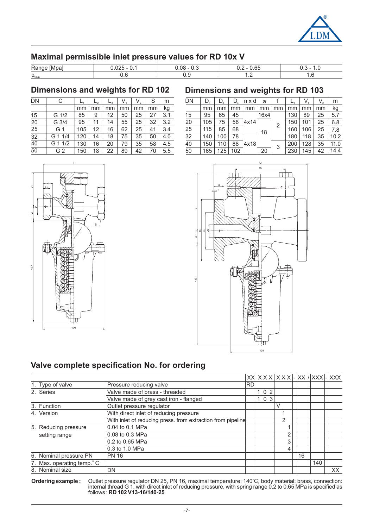

#### **Maximal permissible inlet pressure values for RD 10x V**

| Ran                        | na<br>,, | $\sim$<br>O.             |                |
|----------------------------|----------|--------------------------|----------------|
| $\mathsf{p}_{\text{1max}}$ |          | $\overline{\phantom{a}}$ | $\cdot$ $\sim$ |

#### **Dimensions and weights for RD 102**

| <b>DN</b>       | C               |     |    |    | V  | $V_{2}$ | S  | m   |
|-----------------|-----------------|-----|----|----|----|---------|----|-----|
|                 |                 | mm  | mm | mm | mm | mm      | mm | kg  |
| 15              | $G \frac{1}{2}$ | 85  | 9  | 12 | 50 | 25      | 27 | 3.1 |
| 20              | G 3/4           | 95  | 11 | 14 | 55 | 25      | 32 | 3.2 |
| 25              | G 1             | 105 | 12 | 16 | 62 | 25      | 41 | 3.4 |
| $\overline{32}$ | G 1 1/4         | 120 | 14 | 18 | 75 | 35      | 50 | 4.0 |
| 40              | G 1 1/2         | 130 | 16 | 20 | 79 | 35      | 58 | 4.5 |
| 50              | G 2             | 150 | 18 | 22 | 89 | 42      | 70 | 5.5 |

#### **Dimensions and weights for RD 103**

| <b>DN</b> | D.  | D,  | D,  | n x dl | a    |    |     | $V_{1}$ | V, | m    |
|-----------|-----|-----|-----|--------|------|----|-----|---------|----|------|
|           | mm  | mm  | mm  | mm     | mm   | mm | mm  | mm      | mm | kg   |
| 15        | 95  | 65  | 45  |        | 16x4 |    | 130 | 89      | 25 | 5.7  |
| 20        | 105 | 75  | 58  | 4x14   |      |    | 150 | 101     | 25 | 6.8  |
| 25        | 115 | 85  | 68  |        | 18   | 2  | 160 | 106     | 25 | 7.8  |
| 32        | 140 | 100 | 78  |        |      |    | 180 | 118     | 35 | 10.2 |
| 40        | 150 | 110 | 88  | 4x18   |      |    | 200 | 128     | 35 | 11.0 |
| 50        | 165 | 125 | 102 |        | 20   | 3  | 230 | 145     | 42 | 14.4 |



#### **Valve complete specification No. for ordering**

|                            |                                                             |           |       |   |    |     | <b>XXX</b> |
|----------------------------|-------------------------------------------------------------|-----------|-------|---|----|-----|------------|
| 1. Type of valve           | Pressure reducing valve                                     | <b>RD</b> |       |   |    |     |            |
| 2. Series                  | Valve made of brass - threaded                              |           | 1 0 2 |   |    |     |            |
|                            | Valve made of grey cast iron - flanged                      |           | 103   |   |    |     |            |
| 3. Function                | Outlet pressure regulator                                   |           |       | V |    |     |            |
| 4. Version                 | With direct inlet of reducing pressure                      |           |       |   |    |     |            |
|                            | With inlet of reducing press. from extraction from pipeline |           |       | 2 |    |     |            |
| 5. Reducing pressure       | 0.04 to 0.1 MPa                                             |           |       |   |    |     |            |
| setting range              | 0.08 to 0.3 MPa                                             |           |       | 2 |    |     |            |
|                            | 0.2 to 0.65 MPa                                             |           |       | 3 |    |     |            |
|                            | 0.3 to 1.0 MPa                                              |           |       | 4 |    |     |            |
| 6. Nominal pressure PN     | <b>PN 16</b>                                                |           |       |   | 16 |     |            |
| 7. Max. operating temp. °C |                                                             |           |       |   |    | 140 |            |
| 8. Nominal size            | DN                                                          |           |       |   |    |     | XX.        |

**Ordering example : RD 102 V13-16/140-25** Outlet pressure regulator DN 25, PN 16, maximal temperature: 140 C, body material: brass, connection: internal thread G 1, with direct inlet of reducing pressure, with spring range 0.2 to 0.65 MPa is specified as follows : o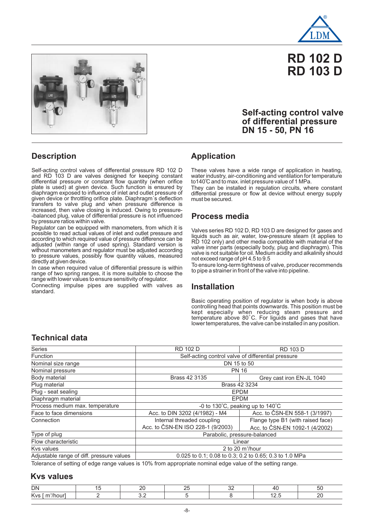





#### **Self-acting control valve of differential pressure DN 15 - 50, PN 16**

#### **Description**

Self-acting control valves of differential pressure RD 102 D and RD 103 D are valves designed for keeping constant differential pressure or constant flow quantity (when orifice plate is used) at given device. Such function is ensured by diaphragm exposed to influence of inlet and outlet pressure of given device or throttling orifice plate. Diaphragm´s deflection transfers to valve plug and when pressure difference is increased, then valve closing is induced. Owing to pressure- -balanced plug, value of differential pressure is not influenced by pressure ratios within valve.

Regulator can be equipped with manometers, from which it is possible to read actual values of inlet and outlet pressure and according to which required value of pressure difference can be adjusted (within range of used spring). Standard version is without manometers and regulator must be adjusted according to pressure values, possibly flow quantity values, measured directly at given device.

In case when required value of differential pressure is within range of two spring ranges, it is more suitable to choose the range with lower values to ensure sensitivity of regulator.

Connecting impulse pipes are supplied with valves as standard.

#### **Application**

These valves have a wide range of application in heating, water industry, air-conditioning and ventilation for temperature to140℃ and to max. inlet pressure value of 1 MPa.

They can be installed in regulation circuits, where constant differential pressure or flow at device without energy supply must be secured.

#### **Process media**

Valves series RD 102 D, RD 103 D are designed for gases and liquids such as air, water, low-pressure steam (it applies to RD 102 only) and other media compatible with material of the valve inner parts (especially body, plug and diaphragm). This valve is not suitable for oil. Medium acidity and alkalinity should not exceed range of pH 4.5 to 9.5

To ensure long-term tightness of valve, producer recommends to pipe a strainer in front of the valve into pipeline.

#### **Installation**

Basic operating position of regulator is when body is above controlling head that points downwards. This position must be kept especially when reducing steam pressure and temperature above 80°C. For liguids and gases that have lower temperatures, the valve can be installed in any position.

#### **Technical data**

| <b>Series</b>                             | <b>RD 102 D</b>                                    | <b>RD 103 D</b>                                        |
|-------------------------------------------|----------------------------------------------------|--------------------------------------------------------|
| Function                                  | Self-acting control valve of differential pressure |                                                        |
| Nominal size range                        | DN 15 to 50                                        |                                                        |
| Nominal pressure                          | <b>PN 16</b>                                       |                                                        |
| Body material                             | Brass 42 3135                                      | Grey cast iron EN-JL 1040                              |
| Plug material                             | Brass 42 3234                                      |                                                        |
| Plug - seat sealing                       |                                                    | <b>EPDM</b>                                            |
| Diaphragm material                        | <b>EPDM</b>                                        |                                                        |
| Process medium max. temperature           |                                                    | -0 to 130°C, peaking up to 140°C                       |
| Face to face dimensions                   | Acc. to DIN 3202 (4/1982) - M4                     | Acc. to ČSN-EN 558-1 (3/1997)                          |
| Connection                                | Internal threaded coupling                         | Flange type B1 (with raised face)                      |
|                                           | Acc. to ČSN-EN ISO 228-1 (9/2003)                  | Acc. to ČSN-EN 1092-1 (4/2002)                         |
| Type of plug                              | Parabolic, pressure-balanced                       |                                                        |
| Flow characteristic                       |                                                    | Linear                                                 |
| Kys values                                |                                                    | 2 to 20 m <sup>3</sup> /hour                           |
| Adjustable range of diff. pressure values |                                                    | 0.025 to 0.1; 0.08 to 0.3; 0.2 to 0.65; 0.3 to 1.0 MPa |

Tolerance of setting of edge range values is 10% from appropriate nominal edge value of the setting range.

#### **Kvs values**

| <b>DN</b> |  |  |  |
|-----------|--|--|--|
| .         |  |  |  |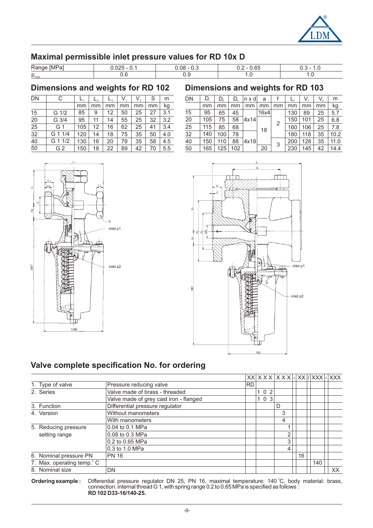

#### **Maximal permissible inlet pressure values for RD 10x D**

| <b>IMPa</b><br><b>Ran</b> | - | $\sim$ $\sim$<br>юt<br>-- |         |
|---------------------------|---|---------------------------|---------|
| $\sim$<br>$P_{1max}$      |   | $\cdot \cdot$             | $\cdot$ |

#### **Dimensions and weights for RD 102**

| DN | C               |     | $L_{2}$ | $L_{3}$ | V, | $V_{2}$ | S  | m   |
|----|-----------------|-----|---------|---------|----|---------|----|-----|
|    |                 | mm  | mm      | mm      | mm | mm      | mm | kg  |
| 15 | $G \frac{1}{2}$ | 85  | 9       | 12      | 50 | 25      | 27 | 3.1 |
| 20 | G 3/4           | 95  | 11      | 14      | 55 | 25      | 32 | 3.2 |
| 25 | G 1             | 105 | 12      | 16      | 62 | 25      | 41 | 3.4 |
| 32 | G 1 1/4         | 120 | 14      | 18      | 75 | 35      | 50 | 4.0 |
| 40 | G 1 1/2         | 130 | 16      | 20      | 79 | 35      | 58 | 4.5 |
| 50 | G <sub>2</sub>  | 150 | 18      | 22      | 89 | 42      | 70 | 5.5 |

### **Dimensions and weights for RD 103**

| <b>DN</b> | D.  | D,  | D,  | $n \times d$ | a    |    |     | $V_{\perp}$ | V, | m    |
|-----------|-----|-----|-----|--------------|------|----|-----|-------------|----|------|
|           | mm  | mm  | mm  | mm           | mm   | mm | mm  | mm          | mm | kg   |
| 15        | 95  | 65  | 45  |              | 16x4 |    | 130 | 89          | 25 | 5.7  |
| 20        | 105 | 75  | 58  | 4x14         |      |    | 150 | 101         | 25 | 6.8  |
| 25        | 115 | 85  | 68  |              | 18   | 2  | 160 | 106         | 25 | 7.8  |
| 32        | 140 | 100 | 78  |              |      |    | 180 | 118         | 35 | 10.2 |
| 40        | 150 | 110 | 88  | 4x18         |      |    | 200 | 128         | 35 | 11.0 |
| 50        | 165 | 125 | 102 |              | 20   | 3  | 230 | 145         | 42 | 14.4 |





#### **Valve complete specification No. for ordering**

|  |                           |                                        |           |     | $ XX $ X X X $ X $ X X $ X $ $ XX / XXX $ $ XXX $ |    |     |    |
|--|---------------------------|----------------------------------------|-----------|-----|---------------------------------------------------|----|-----|----|
|  | 1. Type of valve          | Pressure reducing valve                | <b>RD</b> |     |                                                   |    |     |    |
|  | 2. Series                 | Valve made of brass - threaded         |           | 102 |                                                   |    |     |    |
|  |                           | Valve made of grey cast iron - flanged |           | 103 |                                                   |    |     |    |
|  | 3. Function               | Differential pressure regulator        |           |     | D                                                 |    |     |    |
|  | 4. Version                | Without manometers                     |           |     | 3                                                 |    |     |    |
|  |                           | With manometers                        |           |     | 4                                                 |    |     |    |
|  | 5. Reducing pressure      | 0.04 to 0.1 MPa                        |           |     |                                                   |    |     |    |
|  | setting range             | 0.08 to 0.3 MPa                        |           |     | 2                                                 |    |     |    |
|  |                           | 0.2 to 0.65 MPa                        |           |     | 3 <sub>1</sub>                                    |    |     |    |
|  |                           | 0.3 to 1.0 MPa                         |           |     | 4                                                 |    |     |    |
|  | 6. Nominal pressure PN    | <b>PN 16</b>                           |           |     |                                                   | 16 |     |    |
|  | 7. Max. operating temp. C |                                        |           |     |                                                   |    | 140 |    |
|  | 8. Nominal size           | DN                                     |           |     |                                                   |    |     | XX |

**Ordering example : RD 102 D33-16/140-25.** Differential pressure regulator DN 25, PN 16, maximal temperature: 140 °C, body material: brass, connection: internal thread G 1, with spring range 0.2 to 0.65 MPa is specified as follows : o